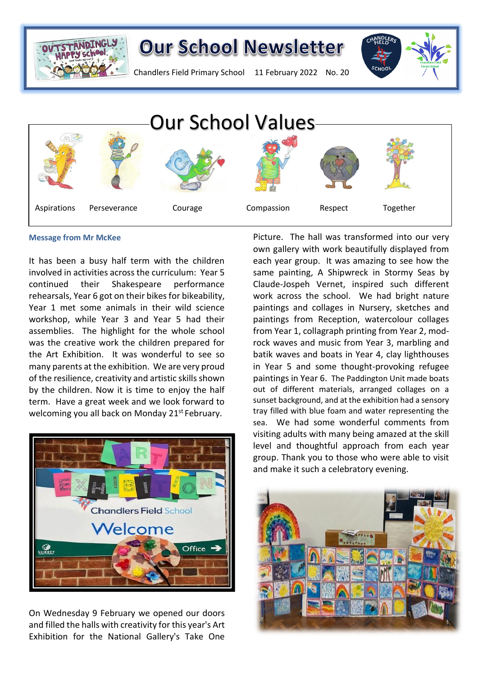



Chandlers Field Primary School 11 February 2022 No. 20



#### **Message from Mr McKee**

It has been a busy half term with the children involved in activities across the curriculum: Year 5 continued their Shakespeare performance rehearsals, Year 6 got on their bikes for bikeability, Year 1 met some animals in their wild science workshop, while Year 3 and Year 5 had their assemblies. The highlight for the whole school was the creative work the children prepared for the Art Exhibition. It was wonderful to see so many parents at the exhibition. We are very proud of the resilience, creativity and artistic skills shown by the children. Now it is time to enjoy the half term. Have a great week and we look forward to welcoming you all back on Monday 21<sup>st</sup> February.



On Wednesday 9 February we opened our doors and filled the halls with creativity for this year's Art Exhibition for the National Gallery's Take One

Picture. The hall was transformed into our very own gallery with work beautifully displayed from each year group. It was amazing to see how the same painting, A Shipwreck in Stormy Seas by Claude-Jospeh Vernet, inspired such different work across the school. We had bright nature paintings and collages in Nursery, sketches and paintings from Reception, watercolour collages from Year 1, collagraph printing from Year 2, modrock waves and music from Year 3, marbling and batik waves and boats in Year 4, clay lighthouses in Year 5 and some thought-provoking refugee paintings in Year 6. The Paddington Unit made boats out of different materials, arranged collages on a sunset background, and at the exhibition had a sensory tray filled with blue foam and water representing the sea. We had some wonderful comments from visiting adults with many being amazed at the skill level and thoughtful approach from each year group. Thank you to those who were able to visit and make it such a celebratory evening.

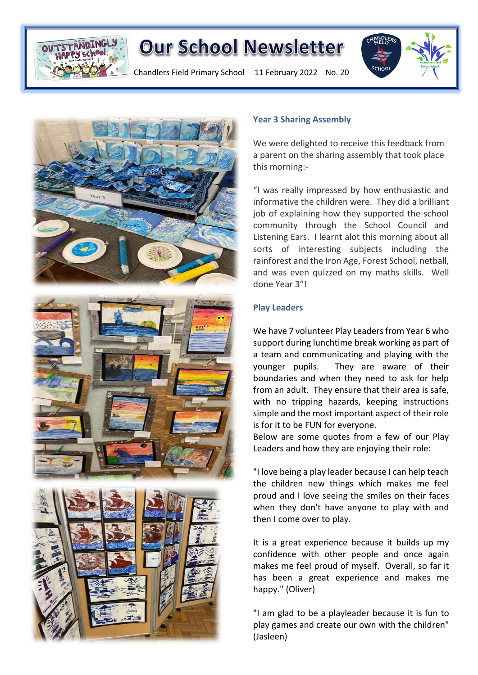

Chandlers Field Primary School 11 February 2022 No. 20





### **Year 3 Sharing Assembly**

We were delighted to receive this feedback from a parent on the sharing assembly that took place this morning:-

"I was really impressed by how enthusiastic and informative the children were. They did a brilliant job of explaining how they supported the school community through the School Council and Listening Ears. I learnt alot this morning about all sorts of interesting subjects including the rainforest and the Iron Age, Forest School, netball, and was even quizzed on my maths skills. Well done Year 3"!

### **Play Leaders**

We have 7 volunteer Play Leaders from Year 6 who support during lunchtime break working as part of a team and communicating and playing with the younger pupils. They are aware of their boundaries and when they need to ask for help from an adult. They ensure that their area is safe, with no tripping hazards, keeping instructions simple and the most important aspect of their role is for it to be FUN for everyone.

Below are some quotes from a few of our Play Leaders and how they are enjoying their role:

"I love being a play leader because I can help teach the children new things which makes me feel proud and I love seeing the smiles on their faces when they don't have anyone to play with and then I come over to play.

It is a great experience because it builds up my confidence with other people and once again makes me feel proud of myself. Overall, so far it has been a great experience and makes me happy." (Oliver)

"I am glad to be a playleader because it is fun to play games and create our own with the children" (Jasleen)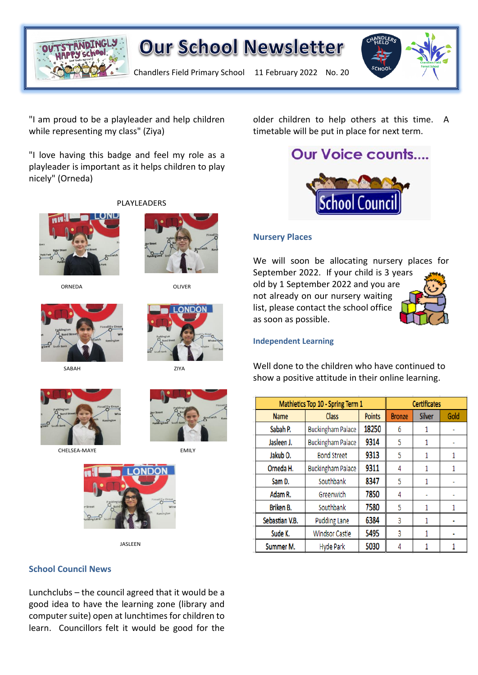

Chandlers Field Primary School 11 February 2022 No. 20

"I am proud to be a playleader and help children while representing my class" (Ziya)

"I love having this badge and feel my role as a playleader is important as it helps children to play nicely" (Orneda)

PLAYLEADERS



ORNEDA OLIVER



SABAH ZIYA



CHELSEA-MAYE EMILY



JASLEEN

### **School Council News**

Lunchclubs – the council agreed that it would be a good idea to have the learning zone (library and computer suite) open at lunchtimes for children to learn. Councillors felt it would be good for the

older children to help others at this time. A timetable will be put in place for next term.

# **Our Voice counts....**



### **Nursery Places**

We will soon be allocating nursery places for September 2022. If your child is 3 years old by 1 September 2022 and you are not already on our nursery waiting list, please contact the school office

### **Independent Learning**

as soon as possible.

Well done to the children who have continued to show a positive attitude in their online learning.

| Mathletics Top 10 - Spring Term 1 |                          | <b>Certificates</b> |               |        |      |
|-----------------------------------|--------------------------|---------------------|---------------|--------|------|
| <b>Name</b>                       | Class                    | <b>Points</b>       | <b>Bronze</b> | Silver | Gold |
| Sabah P.                          | <b>Buckingham Palace</b> | 18250               | 6             |        |      |
| Jasleen J.                        | <b>Buckingham Palace</b> | 9314                | 5             | 1      |      |
| Jakub <sub>O.</sub>               | <b>Bond Street</b>       | 9313                | 5             |        | 1    |
| Orneda H.                         | <b>Buckingham Palace</b> | 9311                | 4             |        |      |
| Sam D.                            | Southbank                | 8347                | 5             |        |      |
| Adam R.                           | Greenwich                | 7850                | 4             |        |      |
| Briken B.                         | Southbank                | 7580                | 5             |        |      |
| Sebastian V.B.                    | <b>Pudding Lane</b>      | 6384                | 3             |        |      |
| Sude K.                           | <b>Windsor Castle</b>    | 5495                | 3             |        |      |
| Summer M.                         | <b>Hyde Park</b>         | 5030                | 4             |        |      |